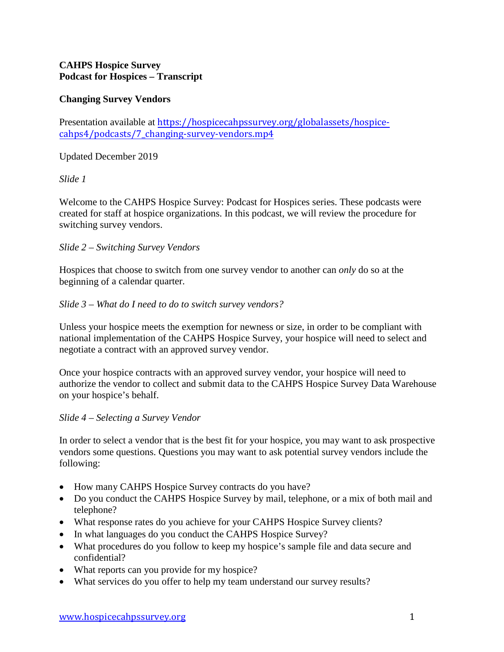# **CAHPS Hospice Survey Podcast for Hospices – Transcript**

# **Changing Survey Vendors**

Presentation available at [https://hospicecahpssurvey.org/globalassets/hospice](https://hospicecahpssurvey.org/globalassets/hospice-cahps/podcasts/7_changing-survey-vendors.mp4)cahps4[/podcasts/7\\_changing-survey-vendors.mp4](https://hospicecahpssurvey.org/globalassets/hospice-cahps/podcasts/7_changing-survey-vendors.mp4)

### Updated December 2019

### *Slide 1*

Welcome to the CAHPS Hospice Survey: Podcast for Hospices series. These podcasts were created for staff at hospice organizations. In this podcast, we will review the procedure for switching survey vendors.

### *Slide 2 – Switching Survey Vendors*

Hospices that choose to switch from one survey vendor to another can *only* do so at the beginning of a calendar quarter.

#### *Slide 3 – What do I need to do to switch survey vendors?*

Unless your hospice meets the exemption for newness or size, in order to be compliant with national implementation of the CAHPS Hospice Survey, your hospice will need to select and negotiate a contract with an approved survey vendor.

Once your hospice contracts with an approved survey vendor, your hospice will need to authorize the vendor to collect and submit data to the CAHPS Hospice Survey Data Warehouse on your hospice's behalf.

#### *Slide 4 – Selecting a Survey Vendor*

In order to select a vendor that is the best fit for your hospice, you may want to ask prospective vendors some questions. Questions you may want to ask potential survey vendors include the following:

- How many CAHPS Hospice Survey contracts do you have?
- Do you conduct the CAHPS Hospice Survey by mail, telephone, or a mix of both mail and telephone?
- What response rates do you achieve for your CAHPS Hospice Survey clients?
- In what languages do you conduct the CAHPS Hospice Survey?
- What procedures do you follow to keep my hospice's sample file and data secure and confidential?
- What reports can you provide for my hospice?
- What services do you offer to help my team understand our survey results?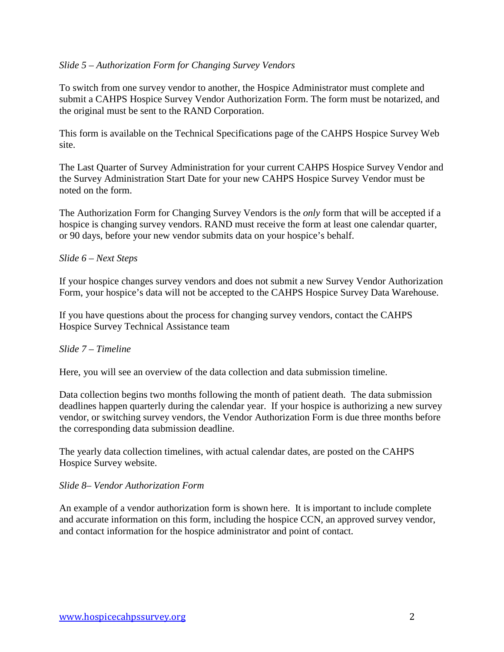### *Slide 5 – Authorization Form for Changing Survey Vendors*

To switch from one survey vendor to another, the Hospice Administrator must complete and submit a CAHPS Hospice Survey Vendor Authorization Form. The form must be notarized, and the original must be sent to the RAND Corporation.

This form is available on the Technical Specifications page of the CAHPS Hospice Survey Web site.

The Last Quarter of Survey Administration for your current CAHPS Hospice Survey Vendor and the Survey Administration Start Date for your new CAHPS Hospice Survey Vendor must be noted on the form.

The Authorization Form for Changing Survey Vendors is the *only* form that will be accepted if a hospice is changing survey vendors. RAND must receive the form at least one calendar quarter, or 90 days, before your new vendor submits data on your hospice's behalf.

### *Slide 6 – Next Steps*

If your hospice changes survey vendors and does not submit a new Survey Vendor Authorization Form, your hospice's data will not be accepted to the CAHPS Hospice Survey Data Warehouse.

If you have questions about the process for changing survey vendors, contact the CAHPS Hospice Survey Technical Assistance team

#### *Slide 7 – Timeline*

Here, you will see an overview of the data collection and data submission timeline.

Data collection begins two months following the month of patient death. The data submission deadlines happen quarterly during the calendar year. If your hospice is authorizing a new survey vendor, or switching survey vendors, the Vendor Authorization Form is due three months before the corresponding data submission deadline.

The yearly data collection timelines, with actual calendar dates, are posted on the CAHPS Hospice Survey website.

#### *Slide 8– Vendor Authorization Form*

An example of a vendor authorization form is shown here. It is important to include complete and accurate information on this form, including the hospice CCN, an approved survey vendor, and contact information for the hospice administrator and point of contact.